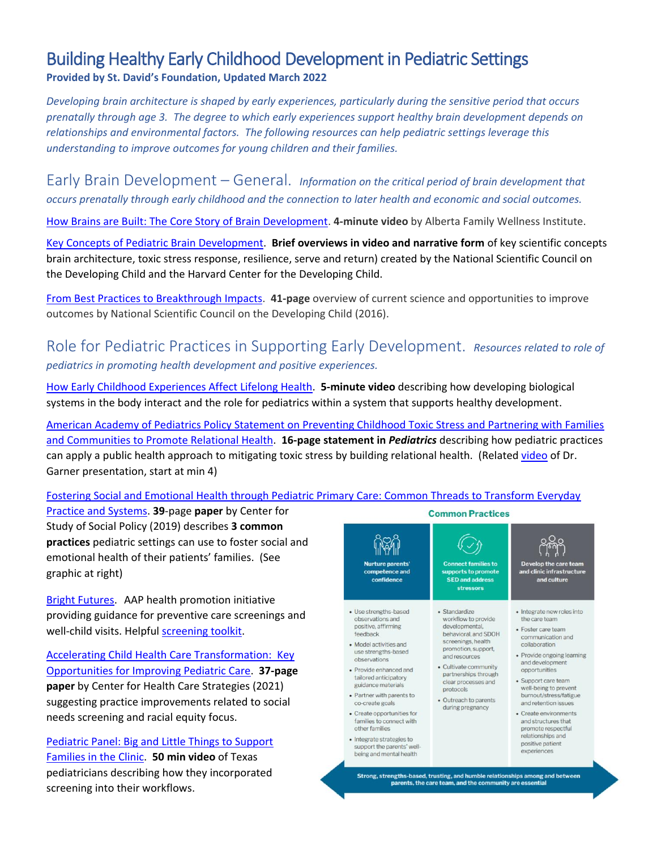## Building Healthy Early Childhood Development in Pediatric Settings **Provided by St. David's Foundation, Updated March 2022**

*Developing brain architecture is shaped by early experiences, particularly during the sensitive period that occurs prenatally through age 3. The degree to which early experiences support healthy brain development depends on relationships and environmental factors. The following resources can help pediatric settings leverage this understanding to improve outcomes for young children and their families.*

Early Brain Development – General. *Information on the critical period of brain development that occurs prenatally through early childhood and the connection to later health and economic and social outcomes.*

[How Brains are Built: The Core Story of Brain Development.](https://www.youtube.com/watch?v=LmVWOe1ky8s) **4-minute video** by Alberta Family Wellness Institute.

[Key Concepts of Pediatric Brain Development.](https://developingchild.harvard.edu/science/key-concepts/) **Brief overviews in video and narrative form** of key scientific concepts brain architecture, toxic stress response, resilience, serve and return) created by the [National Scientific Council on](https://developingchild.harvard.edu/science/national-scientific-council-on-the-developing-child/)  [the Developing Child](https://developingchild.harvard.edu/science/national-scientific-council-on-the-developing-child/) and the Harvard Center for the Developing Child.

[From Best Practices to Breakthrough Impacts.](https://developingchild.harvard.edu/wp-content/uploads/2016/05/From_Best_Practices_to_Breakthrough_Impacts-4.pdf) **41-page** overview of current science and opportunities to improve outcomes by National Scientific Council on the Developing Child (2016).

Role for Pediatric Practices in Supporting Early Development. *Resources related to role of pediatrics in promoting health development and positive experiences.*

[How Early Childhood Experiences Affect Lifelong Health.](https://developingchild.harvard.edu/resources/connecting-the-brain-to-the-rest-of-the-body-early-childhood-development-and-lifelong-health-are-deeply-intertwined/) **5-minute video** describing how developing biological systems in the body interact and the role for pediatrics within a system that supports healthy development.

[American Academy of Pediatrics Policy Statement on Preventing Childhood Toxic Stress and Partnering with Families](https://publications.aap.org/pediatrics/article/148/2/e2021052582/179805/Preventing-Childhood-Toxic-Stress-Partnering-With)  [and Communities to Promote Relational Health.](https://publications.aap.org/pediatrics/article/148/2/e2021052582/179805/Preventing-Childhood-Toxic-Stress-Partnering-With) **16-page statement in** *Pediatrics* describing how pediatric practices can apply a public health approach to mitigating toxic stress by building relational health. (Related [video](https://vimeo.com/647480928) of Dr. Garner presentation, start at min 4)

## [Fostering Social and Emotional Health through Pediatric Primary Care: Common Threads to Transform Everyday](https://cssp.org/wp-content/uploads/2019/10/Fostering-Social-Emotional-Health-Full-Report.pdf)

[Practice and Systems.](https://cssp.org/wp-content/uploads/2019/10/Fostering-Social-Emotional-Health-Full-Report.pdf) **39**-page **paper** by Center for Study of Social Policy (2019) describes **3 common practices** pediatric settings can use to foster social and emotional health of their patients' families. (See graphic at right)

[Bright Futures.](https://brightfutures.aap.org/Pages/default.aspx) AAP health promotion initiative providing guidance for preventive care screenings and well-child visits. Helpful [screening toolkit.](https://publications.aap.org/toolkits/resources/15625/)

[Accelerating Child Health Care Transformation: Key](https://www.chcs.org/resource/accelerating-child-health-care-transformation-key-opportunities-for-improving-pediatric-care/)  [Opportunities for Improving Pediatric Care.](https://www.chcs.org/resource/accelerating-child-health-care-transformation-key-opportunities-for-improving-pediatric-care/) **37-page paper** by Center for Health Care Strategies (2021) suggesting practice improvements related to social needs screening and racial equity focus.

[Pediatric Panel: Big and Little Things to Support](https://pbh.txsafebabies.org/posts/day-2-big-and-little-things-to-support-families-in-the-clinic)  [Families in the Clinic.](https://pbh.txsafebabies.org/posts/day-2-big-and-little-things-to-support-families-in-the-clinic) **50 min video** of Texas pediatricians describing how they incorporated screening into their workflows.



Strong, strengths-based, trusting, and humble relationships among and between<br>parents, the care team, and the community are essential